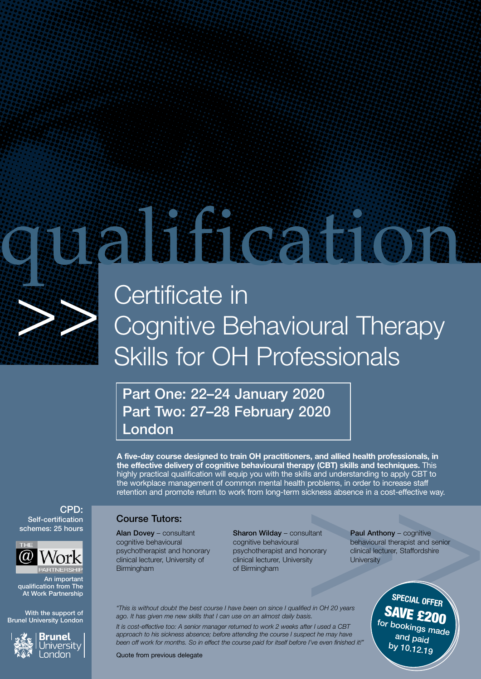

# 

# Certificate in Cognitive Behavioural Therapy Skills for OH Professionals

# Part One: 22–24 January 2020 Part Two: 27–28 February 2020 London

**A five-day course designed to train OH practitioners, and allied health professionals, in the effective delivery of cognitive behavioural therapy (CBT) skills and techniques.** This highly practical qualification will equip you with the skills and understanding to apply CBT to the workplace management of common mental health problems, in order to increase staff retention and promote return to work from long-term sickness absence in a cost-effective way.

### Course Tutors:

Alan Dovey – consultant cognitive behavioural psychotherapist and honorary clinical lecturer, University of Birmingham

Sharon Wilday – consultant cognitive behavioural psychotherapist and honorary clinical lecturer, University of Birmingham

Paul Anthony - cognitive behavioural therapist and senior clinical lecturer, Staffordshire **University** 

*"This is without doubt the best course I have been on since I qualified in OH 20 years ago. It has given me new skills that I can use on an almost daily basis. It is cost-effective too: A senior manager returned to work 2 weeks after I used a CBT* 

*approach to his sickness absence; before attending the course I suspect he may have been off work for months. So in effect the course paid for itself before I've even finished it!"*

Quote from previous delegate

**SPECIAL OFFER SAVE £200** for bookings made and paid by 10.12.19





An important qualification from The At Work Partnership

With the support of Brunel University London

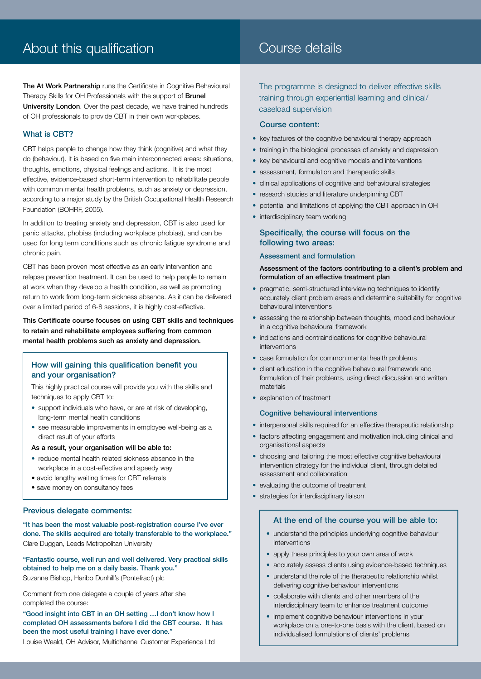# About this qualification

# Course details

The At Work Partnership runs the Certificate in Cognitive Behavioural Therapy Skills for OH Professionals with the support of Brunel University London. Over the past decade, we have trained hundreds of OH professionals to provide CBT in their own workplaces.

#### What is CBT?

CBT helps people to change how they think (cognitive) and what they do (behaviour). It is based on five main interconnected areas: situations, thoughts, emotions, physical feelings and actions. It is the most effective, evidence-based short-term intervention to rehabilitate people with common mental health problems, such as anxiety or depression, according to a major study by the British Occupational Health Research Foundation (BOHRF, 2005).

In addition to treating anxiety and depression, CBT is also used for panic attacks, phobias (including workplace phobias), and can be used for long term conditions such as chronic fatigue syndrome and chronic pain.

CBT has been proven most effective as an early intervention and relapse prevention treatment. It can be used to help people to remain at work when they develop a health condition, as well as promoting return to work from long-term sickness absence. As it can be delivered over a limited period of 6-8 sessions, it is highly cost-effective.

This Certificate course focuses on using CBT skills and techniques to retain and rehabilitate employees suffering from common mental health problems such as anxiety and depression.

#### How will gaining this qualification benefit you and your organisation?

This highly practical course will provide you with the skills and techniques to apply CBT to:

- support individuals who have, or are at risk of developing, long-term mental health conditions
- see measurable improvements in employee well-being as a direct result of your efforts

As a result, your organisation will be able to:

- reduce mental health related sickness absence in the workplace in a cost-effective and speedy way
- avoid lengthy waiting times for CBT referrals
- save money on consultancy fees

#### Previous delegate comments:

"It has been the most valuable post-registration course I've ever done. The skills acquired are totally transferable to the workplace." Clare Duggan, Leeds Metropolitan University

"Fantastic course, well run and well delivered. Very practical skills obtained to help me on a daily basis. Thank you." Suzanne Bishop, Haribo Dunhill's (Pontefract) plc

Comment from one delegate a couple of years after she completed the course:

"Good insight into CBT in an OH setting …I don't know how I completed OH assessments before I did the CBT course. It has been the most useful training I have ever done."

Louise Weald, OH Advisor, Multichannel Customer Experience Ltd

The programme is designed to deliver effective skills training through experiential learning and clinical/ caseload supervision

#### Course content:

- key features of the cognitive behavioural therapy approach
- training in the biological processes of anxiety and depression
- key behavioural and cognitive models and interventions
- assessment, formulation and therapeutic skills
- clinical applications of cognitive and behavioural strategies
- research studies and literature underpinning CBT
- potential and limitations of applying the CBT approach in OH
- interdisciplinary team working

#### Specifically, the course will focus on the following two areas:

#### Assessment and formulation

#### Assessment of the factors contributing to a client's problem and formulation of an effective treatment plan

- pragmatic, semi-structured interviewing techniques to identify accurately client problem areas and determine suitability for cognitive behavioural interventions
- assessing the relationship between thoughts, mood and behaviour in a cognitive behavioural framework
- indications and contraindications for cognitive behavioural interventions
- case formulation for common mental health problems
- client education in the cognitive behavioural framework and formulation of their problems, using direct discussion and written materials
- explanation of treatment

#### Cognitive behavioural interventions

- interpersonal skills required for an effective therapeutic relationship
- factors affecting engagement and motivation including clinical and organisational aspects
- choosing and tailoring the most effective cognitive behavioural intervention strategy for the individual client, through detailed assessment and collaboration
- evaluating the outcome of treatment
- strategies for interdisciplinary liaison

#### At the end of the course you will be able to:

- understand the principles underlying cognitive behaviour interventions
- apply these principles to your own area of work
- accurately assess clients using evidence-based techniques
- understand the role of the therapeutic relationship whilst delivering cognitive behaviour interventions
- collaborate with clients and other members of the interdisciplinary team to enhance treatment outcome
- implement cognitive behaviour interventions in your workplace on a one-to-one basis with the client, based on individualised formulations of clients' problems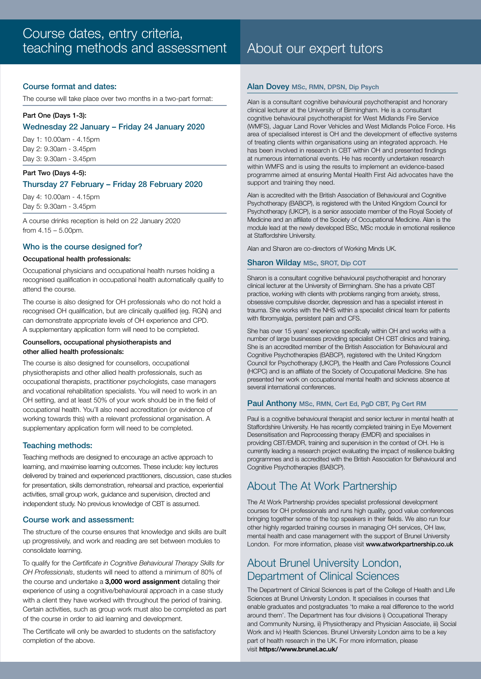#### Course format and dates:

The course will take place over two months in a two-part format:

#### Part One (Days 1-3):

#### Wednesday 22 January – Friday 24 January 2020

Day 1: 10.00am - 4.15pm Day 2: 9.30am - 3.45pm Day 3: 9.30am - 3.45pm

#### Part Two (Days 4-5): Thursday 27 February – Friday 28 February 2020

Day 4: 10.00am - 4.15pm Day 5: 9.30am - 3.45pm

A course drinks reception is held on 22 January 2020 from 4.15 – 5.00pm.

#### Who is the course designed for?

#### Occupational health professionals:

Occupational physicians and occupational health nurses holding a recognised qualification in occupational health automatically qualify to attend the course.

The course is also designed for OH professionals who do not hold a recognised OH qualification, but are clinically qualified (eg. RGN) and can demonstrate appropriate levels of OH experience and CPD. A supplementary application form will need to be completed.

#### Counsellors, occupational physiotherapists and other allied health professionals:

The course is also designed for counsellors, occupational physiotherapists and other allied health professionals, such as occupational therapists, practitioner psychologists, case managers and vocational rehabilitation specialists. You will need to work in an OH setting, and at least 50% of your work should be in the field of occupational health. You'll also need accreditation (or evidence of working towards this) with a relevant professional organisation. A supplementary application form will need to be completed.

#### Teaching methods:

Teaching methods are designed to encourage an active approach to learning, and maximise learning outcomes. These include: key lectures delivered by trained and experienced practitioners, discussion, case studies for presentation, skills demonstration, rehearsal and practice, experiential activities, small group work, guidance and supervision, directed and independent study. No previous knowledge of CBT is assumed.

#### Course work and assessment:

The structure of the course ensures that knowledge and skills are built up progressively, and work and reading are set between modules to consolidate learning.

To qualify for the *Certificate in Cognitive Behavioural Therapy Skills for OH Professionals*, students will need to attend a minimum of 80% of the course and undertake a **3,000 word assignment** detailing their experience of using a cognitive/behavioural approach in a case study with a client they have worked with throughout the period of training. Certain activities, such as group work must also be completed as part of the course in order to aid learning and development.

The Certificate will only be awarded to students on the satisfactory completion of the above.

#### Alan Dovey MSc, RMN, DPSN, Dip Psych

Alan is a consultant cognitive behavioural psychotherapist and honorary clinical lecturer at the University of Birmingham. He is a consultant cognitive behavioural psychotherapist for West Midlands Fire Service (WMFS), Jaguar Land Rover Vehicles and West Midlands Police Force. His area of specialised interest is OH and the development of effective systems of treating clients within organisations using an integrated approach. He has been involved in research in CBT within OH and presented findings at numerous international events. He has recently undertaken research within WMFS and is using the results to implement an evidence-based programme aimed at ensuring Mental Health First Aid advocates have the support and training they need.

Alan is accredited with the British Association of Behavioural and Cognitive Psychotherapy (BABCP), is registered with the United Kingdom Council for Psychotherapy (UKCP), is a senior associate member of the Royal Society of Medicine and an affiliate of the Society of Occupational Medicine. Alan is the module lead at the newly developed BSc, MSc module in emotional resilience at Staffordshire University.

Alan and Sharon are co-directors of Working Minds UK.

#### Sharon Wilday MSc, SROT, Dip COT

Sharon is a consultant cognitive behavioural psychotherapist and honorary clinical lecturer at the University of Birmingham. She has a private CBT practice, working with clients with problems ranging from anxiety, stress, obsessive compulsive disorder, depression and has a specialist interest in trauma. She works with the NHS within a specialist clinical team for patients with fibromyalgia, persistent pain and CFS.

She has over 15 years' experience specifically within OH and works with a number of large businesses providing specialist OH CBT clinics and training. She is an accredited member of the British Association for Behavioural and Cognitive Psychotherapies (BABCP), registered with the United Kingdom Council for Psychotherapy (UKCP), the Health and Care Professions Council (HCPC) and is an affiliate of the Society of Occupational Medicine. She has presented her work on occupational mental health and sickness absence at several international conferences.

#### Paul Anthony MSc, RMN, Cert Ed, PgD CBT, Pg Cert RM

Paul is a cognitive behavioural therapist and senior lecturer in mental health at Staffordshire University. He has recently completed training in Eye Movement Desensitisation and Reprocessing therapy (EMDR) and specialises in providing CBT/EMDR, training and supervision in the context of OH. He is currently leading a research project evaluating the impact of resilience building programmes and is accredited with the British Association for Behavioural and Cognitive Psychotherapies (BABCP).

## About The At Work Partnership

The At Work Partnership provides specialist professional development courses for OH professionals and runs high quality, good value conferences bringing together some of the top speakers in their fields. We also run four other highly regarded training courses in managing OH services, OH law, mental health and case management with the support of Brunel University London. For more information, please visit www.atworkpartnership.co.uk

## About Brunel University London, Department of Clinical Sciences

The Department of Clinical Sciences is part of the College of Health and Life Sciences at Brunel University London. It specialises in courses that enable graduates and postgraduates 'to make a real difference to the world around them'. The Department has four divisions i) Occupational Therapy and Community Nursing, ii) Physiotherapy and Physician Associate, iii) Social Work and iv) Health Sciences. Brunel University London aims to be a key part of health research in the UK. For more information, please visit **https://www.brunel.ac.uk/**